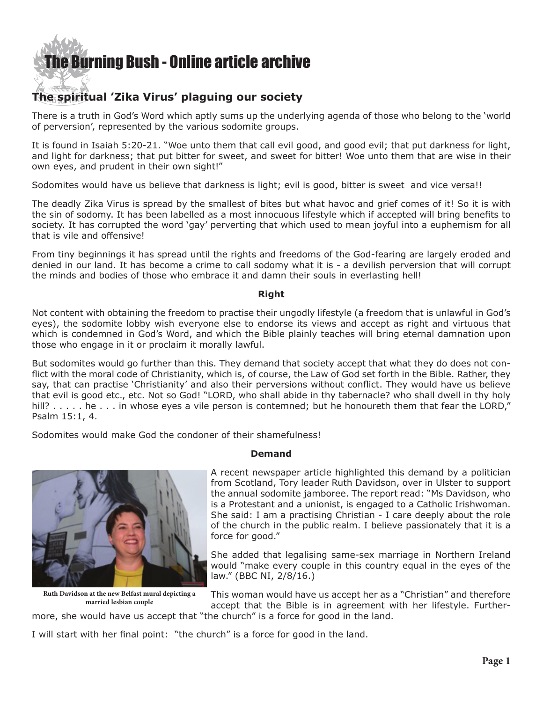

# **The spiritual 'Zika Virus' plaguing our society**

There is a truth in God's Word which aptly sums up the underlying agenda of those who belong to the 'world of perversion', represented by the various sodomite groups.

It is found in Isaiah 5:20-21. "Woe unto them that call evil good, and good evil; that put darkness for light, and light for darkness; that put bitter for sweet, and sweet for bitter! Woe unto them that are wise in their own eyes, and prudent in their own sight!"

Sodomites would have us believe that darkness is light; evil is good, bitter is sweet and vice versa!!

The deadly Zika Virus is spread by the smallest of bites but what havoc and grief comes of it! So it is with the sin of sodomy. It has been labelled as a most innocuous lifestyle which if accepted will bring benefits to society. It has corrupted the word 'gay' perverting that which used to mean joyful into a euphemism for all that is vile and offensive!

From tiny beginnings it has spread until the rights and freedoms of the God-fearing are largely eroded and denied in our land. It has become a crime to call sodomy what it is - a devilish perversion that will corrupt the minds and bodies of those who embrace it and damn their souls in everlasting hell!

#### **Right**

Not content with obtaining the freedom to practise their ungodly lifestyle (a freedom that is unlawful in God's eyes), the sodomite lobby wish everyone else to endorse its views and accept as right and virtuous that which is condemned in God's Word, and which the Bible plainly teaches will bring eternal damnation upon those who engage in it or proclaim it morally lawful.

But sodomites would go further than this. They demand that society accept that what they do does not conflict with the moral code of Christianity, which is, of course, the Law of God set forth in the Bible. Rather, they say, that can practise 'Christianity' and also their perversions without conflict. They would have us believe that evil is good etc., etc. Not so God! "LORD, who shall abide in thy tabernacle? who shall dwell in thy holy hill? . . . . . he . . . in whose eyes a vile person is contemned; but he honoureth them that fear the LORD," Psalm 15:1, 4.

Sodomites would make God the condoner of their shamefulness!



**Ruth Davidson at the new Belfast mural depicting a married lesbian couple**

# **Demand**

A recent newspaper article highlighted this demand by a politician from Scotland, Tory leader Ruth Davidson, over in Ulster to support the annual sodomite jamboree. The report read: "Ms Davidson, who is a Protestant and a unionist, is engaged to a Catholic Irishwoman. She said: I am a practising Christian - I care deeply about the role of the church in the public realm. I believe passionately that it is a force for good."

She added that legalising same-sex marriage in Northern Ireland would "make every couple in this country equal in the eyes of the law." (BBC NI, 2/8/16.)

This woman would have us accept her as a "Christian" and therefore accept that the Bible is in agreement with her lifestyle. Furthermore, she would have us accept that "the church" is a force for good in the land.

I will start with her final point: "the church" is a force for good in the land.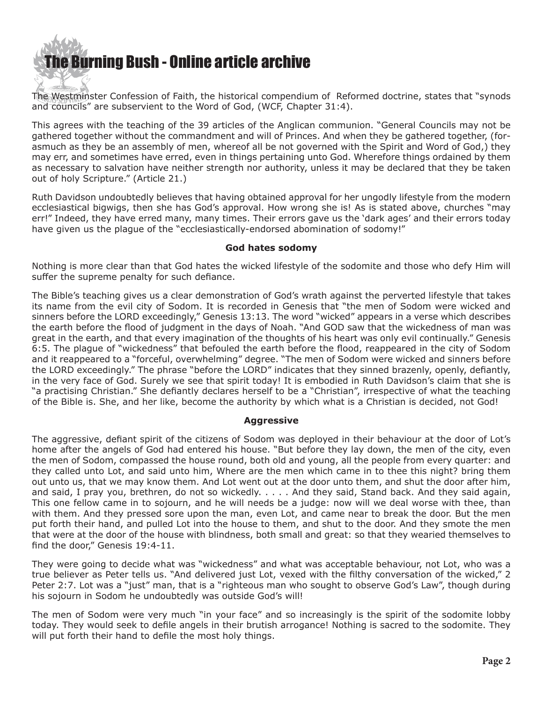

The Westminster Confession of Faith, the historical compendium of Reformed doctrine, states that "synods and councils" are subservient to the Word of God, (WCF, Chapter 31:4).

This agrees with the teaching of the 39 articles of the Anglican communion. "General Councils may not be gathered together without the commandment and will of Princes. And when they be gathered together, (forasmuch as they be an assembly of men, whereof all be not governed with the Spirit and Word of God,) they may err, and sometimes have erred, even in things pertaining unto God. Wherefore things ordained by them as necessary to salvation have neither strength nor authority, unless it may be declared that they be taken out of holy Scripture." (Article 21.)

Ruth Davidson undoubtedly believes that having obtained approval for her ungodly lifestyle from the modern ecclesiastical bigwigs, then she has God's approval. How wrong she is! As is stated above, churches "may err!" Indeed, they have erred many, many times. Their errors gave us the 'dark ages' and their errors today have given us the plague of the "ecclesiastically-endorsed abomination of sodomy!"

# **God hates sodomy**

Nothing is more clear than that God hates the wicked lifestyle of the sodomite and those who defy Him will suffer the supreme penalty for such defiance.

The Bible's teaching gives us a clear demonstration of God's wrath against the perverted lifestyle that takes its name from the evil city of Sodom. It is recorded in Genesis that "the men of Sodom were wicked and sinners before the LORD exceedingly," Genesis 13:13. The word "wicked" appears in a verse which describes the earth before the flood of judgment in the days of Noah. "And GOD saw that the wickedness of man was great in the earth, and that every imagination of the thoughts of his heart was only evil continually." Genesis 6:5. The plague of "wickedness" that befouled the earth before the flood, reappeared in the city of Sodom and it reappeared to a "forceful, overwhelming" degree. "The men of Sodom were wicked and sinners before the LORD exceedingly." The phrase "before the LORD" indicates that they sinned brazenly, openly, defiantly, in the very face of God. Surely we see that spirit today! It is embodied in Ruth Davidson's claim that she is "a practising Christian." She defiantly declares herself to be a "Christian", irrespective of what the teaching of the Bible is. She, and her like, become the authority by which what is a Christian is decided, not God!

# **Aggressive**

The aggressive, defiant spirit of the citizens of Sodom was deployed in their behaviour at the door of Lot's home after the angels of God had entered his house. "But before they lay down, the men of the city, even the men of Sodom, compassed the house round, both old and young, all the people from every quarter: and they called unto Lot, and said unto him, Where are the men which came in to thee this night? bring them out unto us, that we may know them. And Lot went out at the door unto them, and shut the door after him, and said, I pray you, brethren, do not so wickedly. . . . . And they said, Stand back. And they said again, This one fellow came in to sojourn, and he will needs be a judge: now will we deal worse with thee, than with them. And they pressed sore upon the man, even Lot, and came near to break the door. But the men put forth their hand, and pulled Lot into the house to them, and shut to the door. And they smote the men that were at the door of the house with blindness, both small and great: so that they wearied themselves to find the door," Genesis 19:4-11.

They were going to decide what was "wickedness" and what was acceptable behaviour, not Lot, who was a true believer as Peter tells us. "And delivered just Lot, vexed with the filthy conversation of the wicked," 2 Peter 2:7. Lot was a "just" man, that is a "righteous man who sought to observe God's Law", though during his sojourn in Sodom he undoubtedly was outside God's will!

The men of Sodom were very much "in your face" and so increasingly is the spirit of the sodomite lobby today. They would seek to defile angels in their brutish arrogance! Nothing is sacred to the sodomite. They will put forth their hand to defile the most holy things.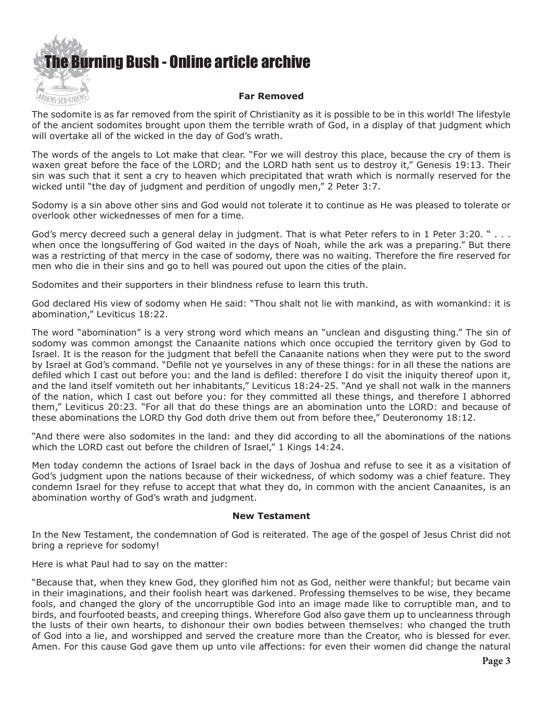

The sodomite is as far removed from the spirit of Christianity as it is possible to be in this world! The lifestyle of the ancient sodomites brought upon them the terrible wrath of God, in a display of that judgment which will overtake all of the wicked in the day of God's wrath.

The words of the angels to Lot make that clear. "For we will destroy this place, because the cry of them is waxen great before the face of the LORD; and the LORD hath sent us to destroy it," Genesis 19:13. Their sin was such that it sent a cry to heaven which precipitated that wrath which is normally reserved for the wicked until "the day of judgment and perdition of ungodly men," 2 Peter 3:7.

Sodomy is a sin above other sins and God would not tolerate it to continue as He was pleased to tolerate or overlook other wickednesses of men for a time.

God's mercy decreed such a general delay in judgment. That is what Peter refers to in 1 Peter 3:20. " . . . when once the longsuffering of God waited in the days of Noah, while the ark was a preparing." But there was a restricting of that mercy in the case of sodomy, there was no waiting. Therefore the fire reserved for men who die in their sins and go to hell was poured out upon the cities of the plain.

Sodomites and their supporters in their blindness refuse to learn this truth.

God declared His view of sodomy when He said: "Thou shalt not lie with mankind, as with womankind: it is abomination," Leviticus 18:22.

The word "abomination" is a very strong word which means an "unclean and disgusting thing." The sin of sodomy was common amongst the Canaanite nations which once occupied the territory given by God to Israel. It is the reason for the judgment that befell the Canaanite nations when they were put to the sword by Israel at God's command. "Defile not ye yourselves in any of these things: for in all these the nations are defiled which I cast out before you: and the land is defiled: therefore I do visit the iniquity thereof upon it, and the land itself vomiteth out her inhabitants," Leviticus 18:24-25. "And ye shall not walk in the manners of the nation, which I cast out before you: for they committed all these things, and therefore I abhorred them," Leviticus 20:23. "For all that do these things are an abomination unto the LORD: and because of these abominations the LORD thy God doth drive them out from before thee," Deuteronomy 18:12.

"And there were also sodomites in the land: and they did according to all the abominations of the nations which the LORD cast out before the children of Israel," 1 Kings 14:24.

Men today condemn the actions of Israel back in the days of Joshua and refuse to see it as a visitation of God's judgment upon the nations because of their wickedness, of which sodomy was a chief feature. They condemn Israel for they refuse to accept that what they do, in common with the ancient Canaanites, is an abomination worthy of God's wrath and judgment.

#### **New Testament**

In the New Testament, the condemnation of God is reiterated. The age of the gospel of Jesus Christ did not bring a reprieve for sodomy!

Here is what Paul had to say on the matter:

"Because that, when they knew God, they glorified him not as God, neither were thankful; but became vain in their imaginations, and their foolish heart was darkened. Professing themselves to be wise, they became fools, and changed the glory of the uncorruptible God into an image made like to corruptible man, and to birds, and fourfooted beasts, and creeping things. Wherefore God also gave them up to uncleanness through the lusts of their own hearts, to dishonour their own bodies between themselves: who changed the truth of God into a lie, and worshipped and served the creature more than the Creator, who is blessed for ever. Amen. For this cause God gave them up unto vile affections: for even their women did change the natural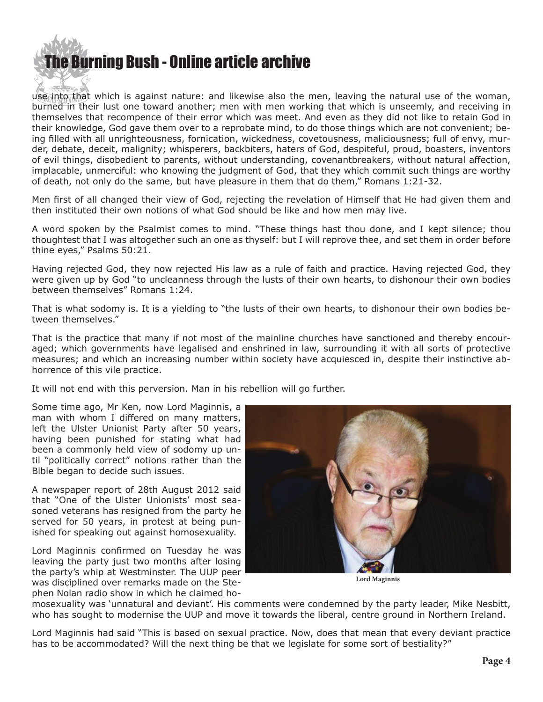# [The Burning Bush - Online article archive](http://www.ivanfoster.net)

use into that which is against nature: and likewise also the men, leaving the natural use of the woman, burned in their lust one toward another; men with men working that which is unseemly, and receiving in themselves that recompence of their error which was meet. And even as they did not like to retain God in their knowledge, God gave them over to a reprobate mind, to do those things which are not convenient; being filled with all unrighteousness, fornication, wickedness, covetousness, maliciousness; full of envy, murder, debate, deceit, malignity; whisperers, backbiters, haters of God, despiteful, proud, boasters, inventors of evil things, disobedient to parents, without understanding, covenantbreakers, without natural affection, implacable, unmerciful: who knowing the judgment of God, that they which commit such things are worthy of death, not only do the same, but have pleasure in them that do them," Romans 1:21-32.

Men first of all changed their view of God, rejecting the revelation of Himself that He had given them and then instituted their own notions of what God should be like and how men may live.

A word spoken by the Psalmist comes to mind. "These things hast thou done, and I kept silence; thou thoughtest that I was altogether such an one as thyself: but I will reprove thee, and set them in order before thine eyes," Psalms 50:21.

Having rejected God, they now rejected His law as a rule of faith and practice. Having rejected God, they were given up by God "to uncleanness through the lusts of their own hearts, to dishonour their own bodies between themselves" Romans 1:24.

That is what sodomy is. It is a yielding to "the lusts of their own hearts, to dishonour their own bodies between themselves."

That is the practice that many if not most of the mainline churches have sanctioned and thereby encouraged; which governments have legalised and enshrined in law, surrounding it with all sorts of protective measures; and which an increasing number within society have acquiesced in, despite their instinctive abhorrence of this vile practice.

It will not end with this perversion. Man in his rebellion will go further.

Some time ago, Mr Ken, now Lord Maginnis, a man with whom I differed on many matters, left the Ulster Unionist Party after 50 years, having been punished for stating what had been a commonly held view of sodomy up until "politically correct" notions rather than the Bible began to decide such issues.

A newspaper report of 28th August 2012 said that "One of the Ulster Unionists' most seasoned veterans has resigned from the party he served for 50 years, in protest at being punished for speaking out against homosexuality.

Lord Maginnis confirmed on Tuesday he was leaving the party just two months after losing the party's whip at Westminster. The UUP peer was disciplined over remarks made on the Stephen Nolan radio show in which he claimed ho-



**Lord Maginnis**

mosexuality was 'unnatural and deviant'. His comments were condemned by the party leader, Mike Nesbitt, who has sought to modernise the UUP and move it towards the liberal, centre ground in Northern Ireland.

Lord Maginnis had said "This is based on sexual practice. Now, does that mean that every deviant practice has to be accommodated? Will the next thing be that we legislate for some sort of bestiality?"